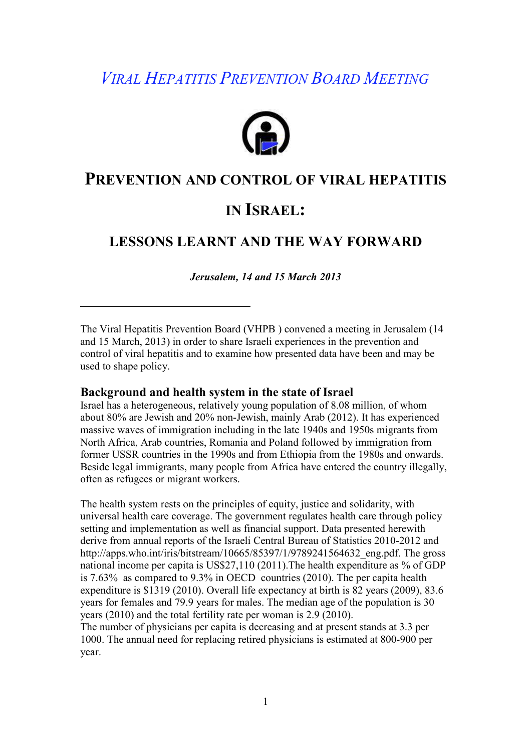# *VIRAL HEPATITIS PREVENTION BOARD MEETING*



# **PREVENTION AND CONTROL OF VIRAL HEPATITIS**

# **IN ISRAEL:**

# **LESSONS LEARNT AND THE WAY FORWARD**

*Jerusalem, 14 and 15 March 2013* 

The Viral Hepatitis Prevention Board (VHPB ) convened a meeting in Jerusalem (14 and 15 March, 2013) in order to share Israeli experiences in the prevention and control of viral hepatitis and to examine how presented data have been and may be used to shape policy.

### **Background and health system in the state of Israel**

Israel has a heterogeneous, relatively young population of 8.08 million, of whom about 80% are Jewish and 20% non-Jewish, mainly Arab (2012). It has experienced massive waves of immigration including in the late 1940s and 1950s migrants from North Africa, Arab countries, Romania and Poland followed by immigration from former USSR countries in the 1990s and from Ethiopia from the 1980s and onwards. Beside legal immigrants, many people from Africa have entered the country illegally, often as refugees or migrant workers.

The health system rests on the principles of equity, justice and solidarity, with universal health care coverage. The government regulates health care through policy setting and implementation as well as financial support. Data presented herewith derive from annual reports of the Israeli Central Bureau of Statistics 2010-2012 and http://apps.who.int/iris/bitstream/10665/85397/1/9789241564632\_eng.pdf. The gross national income per capita is US\$27,110 (2011).The health expenditure as % of GDP is 7.63% as compared to 9.3% in OECD countries (2010). The per capita health expenditure is \$1319 (2010). Overall life expectancy at birth is 82 years (2009), 83.6 years for females and 79.9 years for males. The median age of the population is 30 years (2010) and the total fertility rate per woman is 2.9 (2010).

The number of physicians per capita is decreasing and at present stands at 3.3 per 1000. The annual need for replacing retired physicians is estimated at 800-900 per year.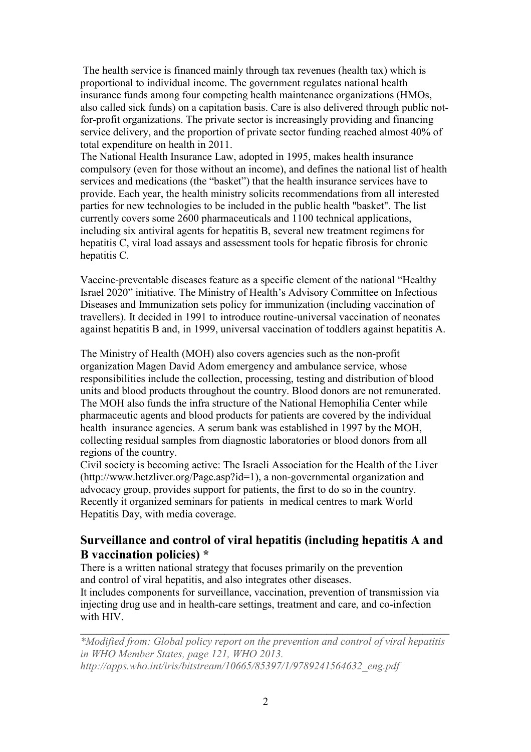The health service is financed mainly through tax revenues (health tax) which is proportional to individual income. The government regulates national health insurance funds among four competing health maintenance organizations (HMOs, also called sick funds) on a capitation basis. Care is also delivered through public notfor-profit organizations. The private sector is increasingly providing and financing service delivery, and the proportion of private sector funding reached almost 40% of total expenditure on health in 2011.

The National Health Insurance Law, adopted in 1995, makes health insurance compulsory (even for those without an income), and defines the national list of health services and medications (the "basket") that the health insurance services have to provide. Each year, the health ministry solicits recommendations from all interested parties for new technologies to be included in the public health "basket". The list currently covers some 2600 pharmaceuticals and 1100 technical applications, including six antiviral agents for hepatitis B, several new treatment regimens for hepatitis C, viral load assays and assessment tools for hepatic fibrosis for chronic hepatitis C.

Vaccine-preventable diseases feature as a specific element of the national "Healthy Israel 2020" initiative. The Ministry of Health's Advisory Committee on Infectious Diseases and Immunization sets policy for immunization (including vaccination of travellers). It decided in 1991 to introduce routine-universal vaccination of neonates against hepatitis B and, in 1999, universal vaccination of toddlers against hepatitis A.

The Ministry of Health (MOH) also covers agencies such as the non-profit organization Magen David Adom emergency and ambulance service, whose responsibilities include the collection, processing, testing and distribution of blood units and blood products throughout the country. Blood donors are not remunerated. The MOH also funds the infra structure of the National Hemophilia Center while pharmaceutic agents and blood products for patients are covered by the individual health insurance agencies. A serum bank was established in 1997 by the MOH, collecting residual samples from diagnostic laboratories or blood donors from all regions of the country.

Civil society is becoming active: The Israeli Association for the Health of the Liver (http://www.hetzliver.org/Page.asp?id=1), a non-governmental organization and advocacy group, provides support for patients, the first to do so in the country. Recently it organized seminars for patients in medical centres to mark World Hepatitis Day, with media coverage.

# **Surveillance and control of viral hepatitis (including hepatitis A and B vaccination policies) \***

There is a written national strategy that focuses primarily on the prevention and control of viral hepatitis, and also integrates other diseases.

It includes components for surveillance, vaccination, prevention of transmission via injecting drug use and in health-care settings, treatment and care, and co-infection with HIV.

*\*Modified from: Global policy report on the prevention and control of viral hepatitis in WHO Member States, page 121, WHO 2013. http://apps.who.int/iris/bitstream/10665/85397/1/9789241564632\_eng.pdf*

 $\mathcal{L}_\mathcal{L} = \mathcal{L}_\mathcal{L} = \mathcal{L}_\mathcal{L} = \mathcal{L}_\mathcal{L} = \mathcal{L}_\mathcal{L} = \mathcal{L}_\mathcal{L} = \mathcal{L}_\mathcal{L} = \mathcal{L}_\mathcal{L} = \mathcal{L}_\mathcal{L} = \mathcal{L}_\mathcal{L} = \mathcal{L}_\mathcal{L} = \mathcal{L}_\mathcal{L} = \mathcal{L}_\mathcal{L} = \mathcal{L}_\mathcal{L} = \mathcal{L}_\mathcal{L} = \mathcal{L}_\mathcal{L} = \mathcal{L}_\mathcal{L}$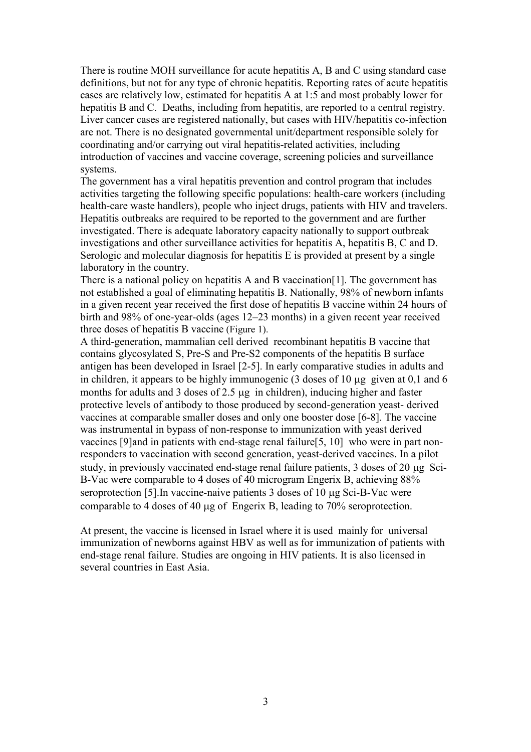There is routine MOH surveillance for acute hepatitis A, B and C using standard case definitions, but not for any type of chronic hepatitis. Reporting rates of acute hepatitis cases are relatively low, estimated for hepatitis A at 1:5 and most probably lower for hepatitis B and C. Deaths, including from hepatitis, are reported to a central registry. Liver cancer cases are registered nationally, but cases with HIV/hepatitis co-infection are not. There is no designated governmental unit/department responsible solely for coordinating and/or carrying out viral hepatitis-related activities, including introduction of vaccines and vaccine coverage, screening policies and surveillance systems.

The government has a viral hepatitis prevention and control program that includes activities targeting the following specific populations: health-care workers (including health-care waste handlers), people who inject drugs, patients with HIV and travelers. Hepatitis outbreaks are required to be reported to the government and are further investigated. There is adequate laboratory capacity nationally to support outbreak investigations and other surveillance activities for hepatitis A, hepatitis B, C and D. Serologic and molecular diagnosis for hepatitis E is provided at present by a single laboratory in the country.

There is a national policy on hepatitis A and B vaccination [1]. The government has not established a goal of eliminating hepatitis B. Nationally, 98% of newborn infants in a given recent year received the first dose of hepatitis B vaccine within 24 hours of birth and 98% of one-year-olds (ages 12–23 months) in a given recent year received three doses of hepatitis B vaccine (Figure 1).

A third-generation, mammalian cell derived recombinant hepatitis B vaccine that contains glycosylated S, Pre-S and Pre-S2 components of the hepatitis B surface antigen has been developed in Israel [2-5]. In early comparative studies in adults and in children, it appears to be highly immunogenic (3 doses of 10 µg given at 0,1 and 6 months for adults and 3 doses of 2.5 µg in children), inducing higher and faster protective levels of antibody to those produced by second-generation yeast- derived vaccines at comparable smaller doses and only one booster dose [6-8]. The vaccine was instrumental in bypass of non-response to immunization with yeast derived vaccines [9]and in patients with end-stage renal failure[5, 10] who were in part nonresponders to vaccination with second generation, yeast-derived vaccines. In a pilot study, in previously vaccinated end-stage renal failure patients, 3 doses of 20 µg Sci-B-Vac were comparable to 4 doses of 40 microgram Engerix B, achieving 88% seroprotection [5]. In vaccine-naive patients 3 doses of 10 µg Sci-B-Vac were comparable to 4 doses of 40 µg of Engerix B, leading to 70% seroprotection.

At present, the vaccine is licensed in Israel where it is used mainly for universal immunization of newborns against HBV as well as for immunization of patients with end-stage renal failure. Studies are ongoing in HIV patients. It is also licensed in several countries in East Asia.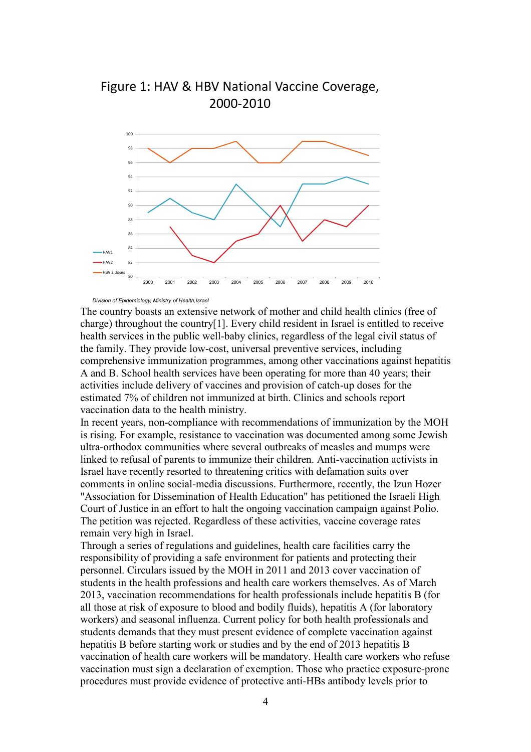



#### *Division of Epidemiology, Ministry of Health,Israel*

The country boasts an extensive network of mother and child health clinics (free of charge) throughout the country[1]. Every child resident in Israel is entitled to receive health services in the public well-baby clinics, regardless of the legal civil status of the family. They provide low-cost, universal preventive services, including comprehensive immunization programmes, among other vaccinations against hepatitis A and B. School health services have been operating for more than 40 years; their activities include delivery of vaccines and provision of catch-up doses for the estimated 7% of children not immunized at birth. Clinics and schools report vaccination data to the health ministry.

In recent years, non-compliance with recommendations of immunization by the MOH is rising. For example, resistance to vaccination was documented among some Jewish ultra-orthodox communities where several outbreaks of measles and mumps were linked to refusal of parents to immunize their children. Anti-vaccination activists in Israel have recently resorted to threatening critics with defamation suits over comments in online social-media discussions. Furthermore, recently, the Izun Hozer "Association for Dissemination of Health Education" has petitioned the Israeli High Court of Justice in an effort to halt the ongoing vaccination campaign against Polio. The petition was rejected. Regardless of these activities, vaccine coverage rates remain very high in Israel.

Through a series of regulations and guidelines, health care facilities carry the responsibility of providing a safe environment for patients and protecting their personnel. Circulars issued by the MOH in 2011 and 2013 cover vaccination of students in the health professions and health care workers themselves. As of March 2013, vaccination recommendations for health professionals include hepatitis B (for all those at risk of exposure to blood and bodily fluids), hepatitis A (for laboratory workers) and seasonal influenza. Current policy for both health professionals and students demands that they must present evidence of complete vaccination against hepatitis B before starting work or studies and by the end of 2013 hepatitis B vaccination of health care workers will be mandatory. Health care workers who refuse vaccination must sign a declaration of exemption. Those who practice exposure-prone procedures must provide evidence of protective anti-HBs antibody levels prior to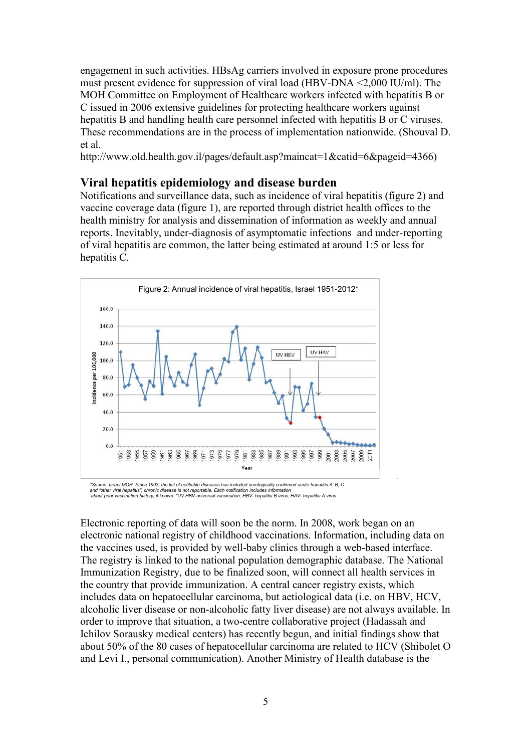engagement in such activities. HBsAg carriers involved in exposure prone procedures must present evidence for suppression of viral load (HBV-DNA <2,000 IU/ml). The MOH Committee on Employment of Healthcare workers infected with hepatitis B or C issued in 2006 extensive guidelines for protecting healthcare workers against hepatitis B and handling health care personnel infected with hepatitis B or C viruses. These recommendations are in the process of implementation nationwide. (Shouval D. et al.

http://www.old.health.gov.il/pages/default.asp?maincat=1&catid=6&pageid=4366)

### **Viral hepatitis epidemiology and disease burden**

Notifications and surveillance data, such as incidence of viral hepatitis (figure 2) and vaccine coverage data (figure 1), are reported through district health offices to the health ministry for analysis and dissemination of information as weekly and annual reports. Inevitably, under-diagnosis of asymptomatic infections and under-reporting of viral hepatitis are common, the latter being estimated at around 1:5 or less for hepatitis C.



and "other viral hepatitis"; chronic disease is not reportable. Each notification includes information<br>about prior vaccination history, if known. \*UV HBV-universal vaccination; HBV- hepatitis B virus; HAV- hepatitis A viru

Electronic reporting of data will soon be the norm. In 2008, work began on an electronic national registry of childhood vaccinations. Information, including data on the vaccines used, is provided by well-baby clinics through a web-based interface. The registry is linked to the national population demographic database. The National Immunization Registry, due to be finalized soon, will connect all health services in the country that provide immunization. A central cancer registry exists, which includes data on hepatocellular carcinoma, but aetiological data (i.e. on HBV, HCV, alcoholic liver disease or non-alcoholic fatty liver disease) are not always available. In order to improve that situation, a two-centre collaborative project (Hadassah and Ichilov Sorausky medical centers) has recently begun, and initial findings show that about 50% of the 80 cases of hepatocellular carcinoma are related to HCV (Shibolet O and Levi I., personal communication). Another Ministry of Health database is the

*.*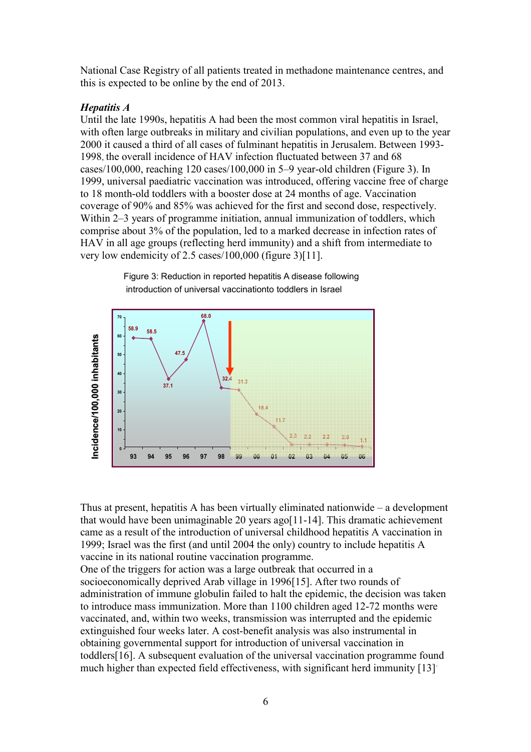National Case Registry of all patients treated in methadone maintenance centres, and this is expected to be online by the end of 2013.

### *Hepatitis A*

Until the late 1990s, hepatitis A had been the most common viral hepatitis in Israel, with often large outbreaks in military and civilian populations, and even up to the year 2000 it caused a third of all cases of fulminant hepatitis in Jerusalem. Between 1993- 1998, the overall incidence of HAV infection fluctuated between 37 and 68 cases/100,000, reaching 120 cases/100,000 in 5–9 year-old children (Figure 3). In 1999, universal paediatric vaccination was introduced, offering vaccine free of charge to 18 month-old toddlers with a booster dose at 24 months of age. Vaccination coverage of 90% and 85% was achieved for the first and second dose, respectively. Within 2–3 years of programme initiation, annual immunization of toddlers, which comprise about 3% of the population, led to a marked decrease in infection rates of HAV in all age groups (reflecting herd immunity) and a shift from intermediate to very low endemicity of 2.5 cases/100,000 (figure 3)[11].



Figure 3: Reduction in reported hepatitis A disease following introduction of universal vaccinationto toddlers in Israel

Thus at present, hepatitis A has been virtually eliminated nationwide – a development that would have been unimaginable 20 years ago[11-14]. This dramatic achievement came as a result of the introduction of universal childhood hepatitis A vaccination in 1999; Israel was the first (and until 2004 the only) country to include hepatitis A vaccine in its national routine vaccination programme.

One of the triggers for action was a large outbreak that occurred in a socioeconomically deprived Arab village in 1996[15]. After two rounds of administration of immune globulin failed to halt the epidemic, the decision was taken to introduce mass immunization. More than 1100 children aged 12-72 months were vaccinated, and, within two weeks, transmission was interrupted and the epidemic extinguished four weeks later. A cost-benefit analysis was also instrumental in obtaining governmental support for introduction of universal vaccination in toddlers[16]. A subsequent evaluation of the universal vaccination programme found much higher than expected field effectiveness, with significant herd immunity [13].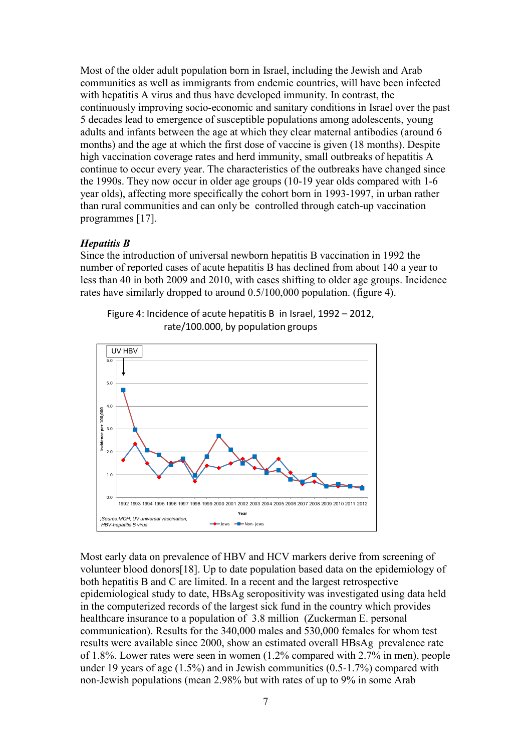Most of the older adult population born in Israel, including the Jewish and Arab communities as well as immigrants from endemic countries, will have been infected with hepatitis A virus and thus have developed immunity. In contrast, the continuously improving socio-economic and sanitary conditions in Israel over the past 5 decades lead to emergence of susceptible populations among adolescents, young adults and infants between the age at which they clear maternal antibodies (around 6 months) and the age at which the first dose of vaccine is given (18 months). Despite high vaccination coverage rates and herd immunity, small outbreaks of hepatitis A continue to occur every year. The characteristics of the outbreaks have changed since the 1990s. They now occur in older age groups (10-19 year olds compared with 1-6 year olds), affecting more specifically the cohort born in 1993-1997, in urban rather than rural communities and can only be controlled through catch-up vaccination programmes [17].

#### *Hepatitis B*

Since the introduction of universal newborn hepatitis B vaccination in 1992 the number of reported cases of acute hepatitis B has declined from about 140 a year to less than 40 in both 2009 and 2010, with cases shifting to older age groups. Incidence rates have similarly dropped to around 0.5/100,000 population. (figure 4).

Figure 4: Incidence of acute hepatitis B in Israel, 1992 – 2012, rate/100.000, by population groups



Most early data on prevalence of HBV and HCV markers derive from screening of volunteer blood donors[18]. Up to date population based data on the epidemiology of both hepatitis B and C are limited. In a recent and the largest retrospective epidemiological study to date, HBsAg seropositivity was investigated using data held in the computerized records of the largest sick fund in the country which provides healthcare insurance to a population of 3.8 million (Zuckerman E. personal communication). Results for the 340,000 males and 530,000 females for whom test results were available since 2000, show an estimated overall HBsAg prevalence rate of 1.8%. Lower rates were seen in women (1.2% compared with 2.7% in men), people under 19 years of age (1.5%) and in Jewish communities (0.5-1.7%) compared with non-Jewish populations (mean 2.98% but with rates of up to 9% in some Arab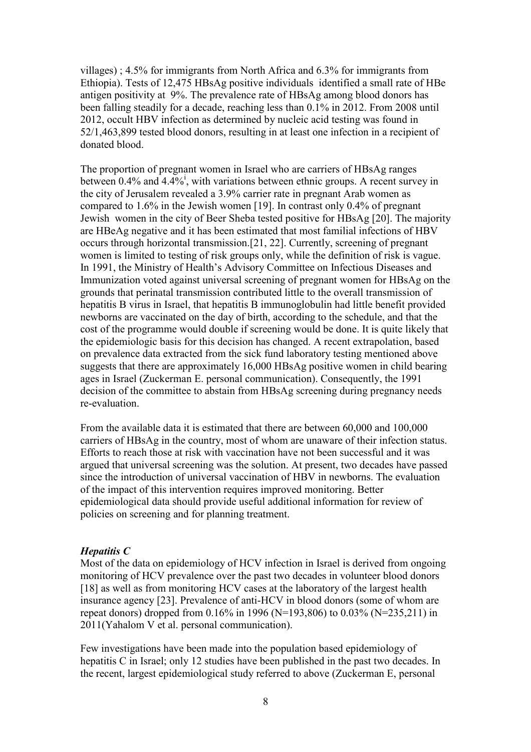villages) ; 4.5% for immigrants from North Africa and 6.3% for immigrants from Ethiopia). Tests of 12,475 HBsAg positive individuals identified a small rate of HBe antigen positivity at 9%. The prevalence rate of HBsAg among blood donors has been falling steadily for a decade, reaching less than 0.1% in 2012. From 2008 until 2012, occult HBV infection as determined by nucleic acid testing was found in 52/1,463,899 tested blood donors, resulting in at least one infection in a recipient of donated blood.

The proportion of pregnant women in Israel who are carriers of HBsAg ranges between  $0.4\%$  and  $4.4\%$ , with variations between ethnic groups. A recent survey in the city of Jerusalem revealed a 3.9% carrier rate in pregnant Arab women as compared to 1.6% in the Jewish women [19]. In contrast only 0.4% of pregnant Jewish women in the city of Beer Sheba tested positive for HBsAg [20]. The majority are HBeAg negative and it has been estimated that most familial infections of HBV occurs through horizontal transmission.[21, 22]. Currently, screening of pregnant women is limited to testing of risk groups only, while the definition of risk is vague. In 1991, the Ministry of Health's Advisory Committee on Infectious Diseases and Immunization voted against universal screening of pregnant women for HBsAg on the grounds that perinatal transmission contributed little to the overall transmission of hepatitis B virus in Israel, that hepatitis B immunoglobulin had little benefit provided newborns are vaccinated on the day of birth, according to the schedule, and that the cost of the programme would double if screening would be done. It is quite likely that the epidemiologic basis for this decision has changed. A recent extrapolation, based on prevalence data extracted from the sick fund laboratory testing mentioned above suggests that there are approximately 16,000 HBsAg positive women in child bearing ages in Israel (Zuckerman E. personal communication). Consequently, the 1991 decision of the committee to abstain from HBsAg screening during pregnancy needs re-evaluation.

From the available data it is estimated that there are between 60,000 and 100,000 carriers of HBsAg in the country, most of whom are unaware of their infection status. Efforts to reach those at risk with vaccination have not been successful and it was argued that universal screening was the solution. At present, two decades have passed since the introduction of universal vaccination of HBV in newborns. The evaluation of the impact of this intervention requires improved monitoring. Better epidemiological data should provide useful additional information for review of policies on screening and for planning treatment.

#### *Hepatitis C*

Most of the data on epidemiology of HCV infection in Israel is derived from ongoing monitoring of HCV prevalence over the past two decades in volunteer blood donors [18] as well as from monitoring HCV cases at the laboratory of the largest health insurance agency [23]. Prevalence of anti-HCV in blood donors (some of whom are repeat donors) dropped from 0.16% in 1996 (N=193,806) to 0.03% (N=235,211) in 2011(Yahalom V et al. personal communication).

Few investigations have been made into the population based epidemiology of hepatitis C in Israel; only 12 studies have been published in the past two decades. In the recent, largest epidemiological study referred to above (Zuckerman E, personal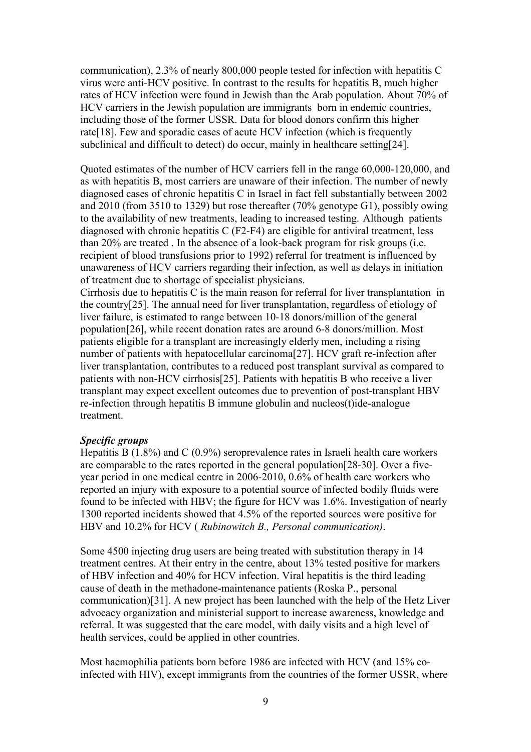communication), 2.3% of nearly 800,000 people tested for infection with hepatitis C virus were anti-HCV positive. In contrast to the results for hepatitis B, much higher rates of HCV infection were found in Jewish than the Arab population. About 70% of HCV carriers in the Jewish population are immigrants born in endemic countries, including those of the former USSR. Data for blood donors confirm this higher rate[18]. Few and sporadic cases of acute HCV infection (which is frequently subclinical and difficult to detect) do occur, mainly in healthcare setting[24].

Quoted estimates of the number of HCV carriers fell in the range 60,000-120,000, and as with hepatitis B, most carriers are unaware of their infection. The number of newly diagnosed cases of chronic hepatitis C in Israel in fact fell substantially between 2002 and 2010 (from 3510 to 1329) but rose thereafter (70% genotype G1), possibly owing to the availability of new treatments, leading to increased testing. Although patients diagnosed with chronic hepatitis C (F2-F4) are eligible for antiviral treatment, less than 20% are treated . In the absence of a look-back program for risk groups (i.e. recipient of blood transfusions prior to 1992) referral for treatment is influenced by unawareness of HCV carriers regarding their infection, as well as delays in initiation of treatment due to shortage of specialist physicians.

Cirrhosis due to hepatitis C is the main reason for referral for liver transplantation in the country[25]. The annual need for liver transplantation, regardless of etiology of liver failure, is estimated to range between 10-18 donors/million of the general population[26], while recent donation rates are around 6-8 donors/million. Most patients eligible for a transplant are increasingly elderly men, including a rising number of patients with hepatocellular carcinoma[27]. HCV graft re-infection after liver transplantation, contributes to a reduced post transplant survival as compared to patients with non-HCV cirrhosis[25]. Patients with hepatitis B who receive a liver transplant may expect excellent outcomes due to prevention of post-transplant HBV re-infection through hepatitis B immune globulin and nucleos(t)ide-analogue treatment.

#### *Specific groups*

Hepatitis B (1.8%) and C (0.9%) seroprevalence rates in Israeli health care workers are comparable to the rates reported in the general population[28-30]. Over a fiveyear period in one medical centre in 2006-2010, 0.6% of health care workers who reported an injury with exposure to a potential source of infected bodily fluids were found to be infected with HBV; the figure for HCV was 1.6%. Investigation of nearly 1300 reported incidents showed that 4.5% of the reported sources were positive for HBV and 10.2% for HCV ( *Rubinowitch B., Personal communication)*.

Some 4500 injecting drug users are being treated with substitution therapy in 14 treatment centres. At their entry in the centre, about 13% tested positive for markers of HBV infection and 40% for HCV infection. Viral hepatitis is the third leading cause of death in the methadone-maintenance patients (Roska P., personal communication)[31]. A new project has been launched with the help of the Hetz Liver advocacy organization and ministerial support to increase awareness, knowledge and referral. It was suggested that the care model, with daily visits and a high level of health services, could be applied in other countries.

Most haemophilia patients born before 1986 are infected with HCV (and 15% coinfected with HIV), except immigrants from the countries of the former USSR, where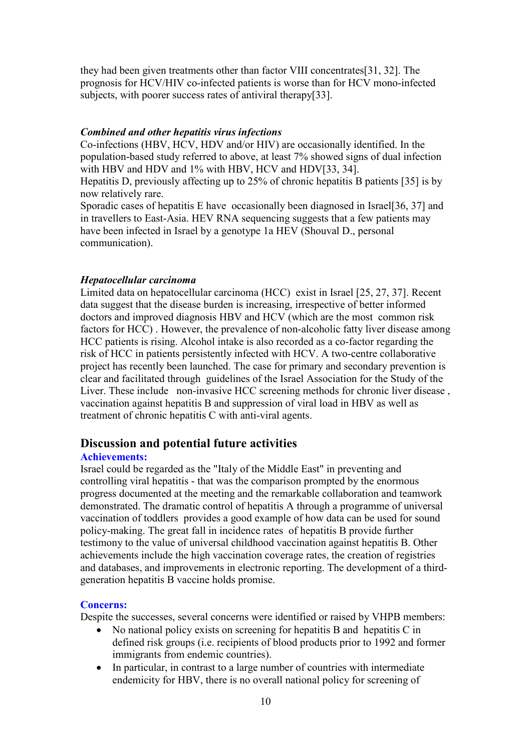they had been given treatments other than factor VIII concentrates[31, 32]. The prognosis for HCV/HIV co-infected patients is worse than for HCV mono-infected subjects, with poorer success rates of antiviral therapy[33].

#### *Combined and other hepatitis virus infections*

Co-infections (HBV, HCV, HDV and/or HIV) are occasionally identified. In the population-based study referred to above, at least 7% showed signs of dual infection with HBV and HDV and 1% with HBV, HCV and HDV[33, 34]. Hepatitis D, previously affecting up to 25% of chronic hepatitis B patients [35] is by now relatively rare.

Sporadic cases of hepatitis E have occasionally been diagnosed in Israel[36, 37] and in travellers to East-Asia. HEV RNA sequencing suggests that a few patients may have been infected in Israel by a genotype 1a HEV (Shouval D., personal communication).

#### *Hepatocellular carcinoma*

Limited data on hepatocellular carcinoma (HCC) exist in Israel [25, 27, 37]. Recent data suggest that the disease burden is increasing, irrespective of better informed doctors and improved diagnosis HBV and HCV (which are the most common risk factors for HCC) . However, the prevalence of non-alcoholic fatty liver disease among HCC patients is rising. Alcohol intake is also recorded as a co-factor regarding the risk of HCC in patients persistently infected with HCV. A two-centre collaborative project has recently been launched. The case for primary and secondary prevention is clear and facilitated through guidelines of the Israel Association for the Study of the Liver. These include non-invasive HCC screening methods for chronic liver disease , vaccination against hepatitis B and suppression of viral load in HBV as well as treatment of chronic hepatitis C with anti-viral agents.

### **Discussion and potential future activities**

#### **Achievements:**

Israel could be regarded as the "Italy of the Middle East" in preventing and controlling viral hepatitis - that was the comparison prompted by the enormous progress documented at the meeting and the remarkable collaboration and teamwork demonstrated. The dramatic control of hepatitis A through a programme of universal vaccination of toddlers provides a good example of how data can be used for sound policy-making. The great fall in incidence rates of hepatitis B provide further testimony to the value of universal childhood vaccination against hepatitis B. Other achievements include the high vaccination coverage rates, the creation of registries and databases, and improvements in electronic reporting. The development of a thirdgeneration hepatitis B vaccine holds promise.

#### **Concerns:**

Despite the successes, several concerns were identified or raised by VHPB members:

- No national policy exists on screening for hepatitis B and hepatitis C in defined risk groups (i.e. recipients of blood products prior to 1992 and former immigrants from endemic countries).
- In particular, in contrast to a large number of countries with intermediate endemicity for HBV, there is no overall national policy for screening of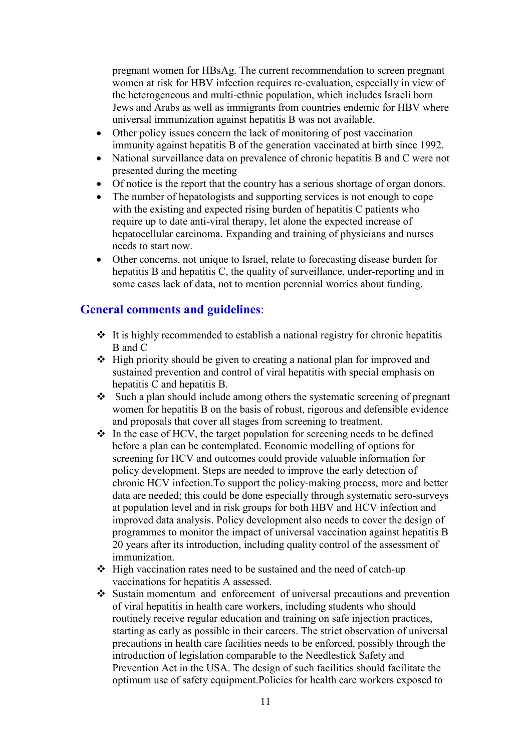pregnant women for HBsAg. The current recommendation to screen pregnant women at risk for HBV infection requires re-evaluation, especially in view of the heterogeneous and multi-ethnic population, which includes Israeli born Jews and Arabs as well as immigrants from countries endemic for HBV where universal immunization against hepatitis B was not available.

- Other policy issues concern the lack of monitoring of post vaccination immunity against hepatitis B of the generation vaccinated at birth since 1992.
- National surveillance data on prevalence of chronic hepatitis B and C were not presented during the meeting
- Of notice is the report that the country has a serious shortage of organ donors.
- The number of hepatologists and supporting services is not enough to cope with the existing and expected rising burden of hepatitis C patients who require up to date anti-viral therapy, let alone the expected increase of hepatocellular carcinoma. Expanding and training of physicians and nurses needs to start now.
- Other concerns, not unique to Israel, relate to forecasting disease burden for hepatitis B and hepatitis C, the quality of surveillance, under-reporting and in some cases lack of data, not to mention perennial worries about funding.

# **General comments and guidelines**:

- $\cdot$  It is highly recommended to establish a national registry for chronic hepatitis B and C
- $\triangleleft$  High priority should be given to creating a national plan for improved and sustained prevention and control of viral hepatitis with special emphasis on hepatitis C and hepatitis B.
- $\bullet$  Such a plan should include among others the systematic screening of pregnant women for hepatitis B on the basis of robust, rigorous and defensible evidence and proposals that cover all stages from screening to treatment.
- $\triangle$  In the case of HCV, the target population for screening needs to be defined before a plan can be contemplated. Economic modelling of options for screening for HCV and outcomes could provide valuable information for policy development. Steps are needed to improve the early detection of chronic HCV infection.To support the policy-making process, more and better data are needed; this could be done especially through systematic sero-surveys at population level and in risk groups for both HBV and HCV infection and improved data analysis. Policy development also needs to cover the design of programmes to monitor the impact of universal vaccination against hepatitis B 20 years after its introduction, including quality control of the assessment of immunization.
- $\div$  High vaccination rates need to be sustained and the need of catch-up vaccinations for hepatitis A assessed.
- Sustain momentum and enforcement of universal precautions and prevention of viral hepatitis in health care workers, including students who should routinely receive regular education and training on safe injection practices, starting as early as possible in their careers. The strict observation of universal precautions in health care facilities needs to be enforced, possibly through the introduction of legislation comparable to the Needlestick Safety and Prevention Act in the USA. The design of such facilities should facilitate the optimum use of safety equipment.Policies for health care workers exposed to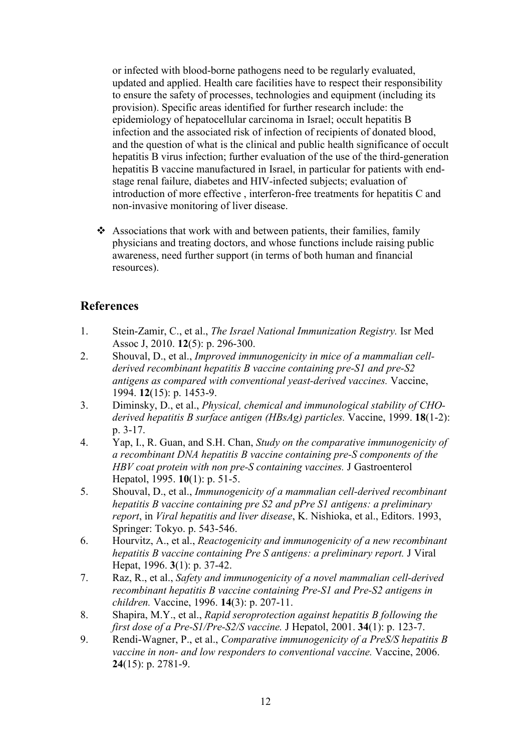or infected with blood-borne pathogens need to be regularly evaluated, updated and applied. Health care facilities have to respect their responsibility to ensure the safety of processes, technologies and equipment (including its provision). Specific areas identified for further research include: the epidemiology of hepatocellular carcinoma in Israel; occult hepatitis B infection and the associated risk of infection of recipients of donated blood, and the question of what is the clinical and public health significance of occult hepatitis B virus infection; further evaluation of the use of the third-generation hepatitis B vaccine manufactured in Israel, in particular for patients with endstage renal failure, diabetes and HIV-infected subjects; evaluation of introduction of more effective , interferon-free treatments for hepatitis C and non-invasive monitoring of liver disease.

 $\triangleleft$  Associations that work with and between patients, their families, family physicians and treating doctors, and whose functions include raising public awareness, need further support (in terms of both human and financial resources).

## **References**

- 1. Stein-Zamir, C., et al., *The Israel National Immunization Registry.* Isr Med Assoc J, 2010. **12**(5): p. 296-300.
- 2. Shouval, D., et al., *Improved immunogenicity in mice of a mammalian cellderived recombinant hepatitis B vaccine containing pre-S1 and pre-S2 antigens as compared with conventional yeast-derived vaccines.* Vaccine, 1994. **12**(15): p. 1453-9.
- 3. Diminsky, D., et al., *Physical, chemical and immunological stability of CHOderived hepatitis B surface antigen (HBsAg) particles.* Vaccine, 1999. **18**(1-2): p. 3-17.
- 4. Yap, I., R. Guan, and S.H. Chan, *Study on the comparative immunogenicity of a recombinant DNA hepatitis B vaccine containing pre-S components of the HBV coat protein with non pre-S containing vaccines.* J Gastroenterol Hepatol, 1995. **10**(1): p. 51-5.
- 5. Shouval, D., et al., *Immunogenicity of a mammalian cell-derived recombinant hepatitis B vaccine containing pre S2 and pPre S1 antigens: a preliminary report*, in *Viral hepatitis and liver disease*, K. Nishioka, et al., Editors. 1993, Springer: Tokyo. p. 543-546.
- 6. Hourvitz, A., et al., *Reactogenicity and immunogenicity of a new recombinant hepatitis B vaccine containing Pre S antigens: a preliminary report.* J Viral Hepat, 1996. **3**(1): p. 37-42.
- 7. Raz, R., et al., *Safety and immunogenicity of a novel mammalian cell-derived recombinant hepatitis B vaccine containing Pre-S1 and Pre-S2 antigens in children.* Vaccine, 1996. **14**(3): p. 207-11.
- 8. Shapira, M.Y., et al., *Rapid seroprotection against hepatitis B following the first dose of a Pre-S1/Pre-S2/S vaccine.* J Hepatol, 2001. **34**(1): p. 123-7.
- 9. Rendi-Wagner, P., et al., *Comparative immunogenicity of a PreS/S hepatitis B vaccine in non- and low responders to conventional vaccine.* Vaccine, 2006. **24**(15): p. 2781-9.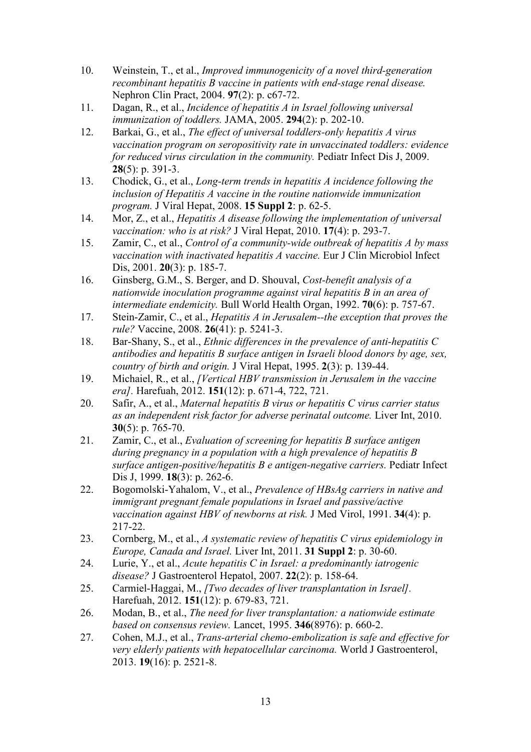- 10. Weinstein, T., et al., *Improved immunogenicity of a novel third-generation recombinant hepatitis B vaccine in patients with end-stage renal disease.* Nephron Clin Pract, 2004. **97**(2): p. c67-72.
- 11. Dagan, R., et al., *Incidence of hepatitis A in Israel following universal immunization of toddlers.* JAMA, 2005. **294**(2): p. 202-10.
- 12. Barkai, G., et al., *The effect of universal toddlers-only hepatitis A virus vaccination program on seropositivity rate in unvaccinated toddlers: evidence for reduced virus circulation in the community.* Pediatr Infect Dis J, 2009. **28**(5): p. 391-3.
- 13. Chodick, G., et al., *Long-term trends in hepatitis A incidence following the inclusion of Hepatitis A vaccine in the routine nationwide immunization program.* J Viral Hepat, 2008. **15 Suppl 2**: p. 62-5.
- 14. Mor, Z., et al., *Hepatitis A disease following the implementation of universal vaccination: who is at risk?* J Viral Hepat, 2010. **17**(4): p. 293-7.
- 15. Zamir, C., et al., *Control of a community-wide outbreak of hepatitis A by mass vaccination with inactivated hepatitis A vaccine.* Eur J Clin Microbiol Infect Dis, 2001. **20**(3): p. 185-7.
- 16. Ginsberg, G.M., S. Berger, and D. Shouval, *Cost-benefit analysis of a nationwide inoculation programme against viral hepatitis B in an area of intermediate endemicity.* Bull World Health Organ, 1992. **70**(6): p. 757-67.
- 17. Stein-Zamir, C., et al., *Hepatitis A in Jerusalem--the exception that proves the rule?* Vaccine, 2008. **26**(41): p. 5241-3.
- 18. Bar-Shany, S., et al., *Ethnic differences in the prevalence of anti-hepatitis C antibodies and hepatitis B surface antigen in Israeli blood donors by age, sex, country of birth and origin.* J Viral Hepat, 1995. **2**(3): p. 139-44.
- 19. Michaiel, R., et al., *[Vertical HBV transmission in Jerusalem in the vaccine era].* Harefuah, 2012. **151**(12): p. 671-4, 722, 721.
- 20. Safir, A., et al., *Maternal hepatitis B virus or hepatitis C virus carrier status as an independent risk factor for adverse perinatal outcome.* Liver Int, 2010. **30**(5): p. 765-70.
- 21. Zamir, C., et al., *Evaluation of screening for hepatitis B surface antigen during pregnancy in a population with a high prevalence of hepatitis B surface antigen-positive/hepatitis B e antigen-negative carriers.* Pediatr Infect Dis J, 1999. **18**(3): p. 262-6.
- 22. Bogomolski-Yahalom, V., et al., *Prevalence of HBsAg carriers in native and immigrant pregnant female populations in Israel and passive/active vaccination against HBV of newborns at risk.* J Med Virol, 1991. **34**(4): p. 217-22.
- 23. Cornberg, M., et al., *A systematic review of hepatitis C virus epidemiology in Europe, Canada and Israel.* Liver Int, 2011. **31 Suppl 2**: p. 30-60.
- 24. Lurie, Y., et al., *Acute hepatitis C in Israel: a predominantly iatrogenic disease?* J Gastroenterol Hepatol, 2007. **22**(2): p. 158-64.
- 25. Carmiel-Haggai, M., *[Two decades of liver transplantation in Israel].* Harefuah, 2012. **151**(12): p. 679-83, 721.
- 26. Modan, B., et al., *The need for liver transplantation: a nationwide estimate based on consensus review.* Lancet, 1995. **346**(8976): p. 660-2.
- 27. Cohen, M.J., et al., *Trans-arterial chemo-embolization is safe and effective for very elderly patients with hepatocellular carcinoma.* World J Gastroenterol, 2013. **19**(16): p. 2521-8.